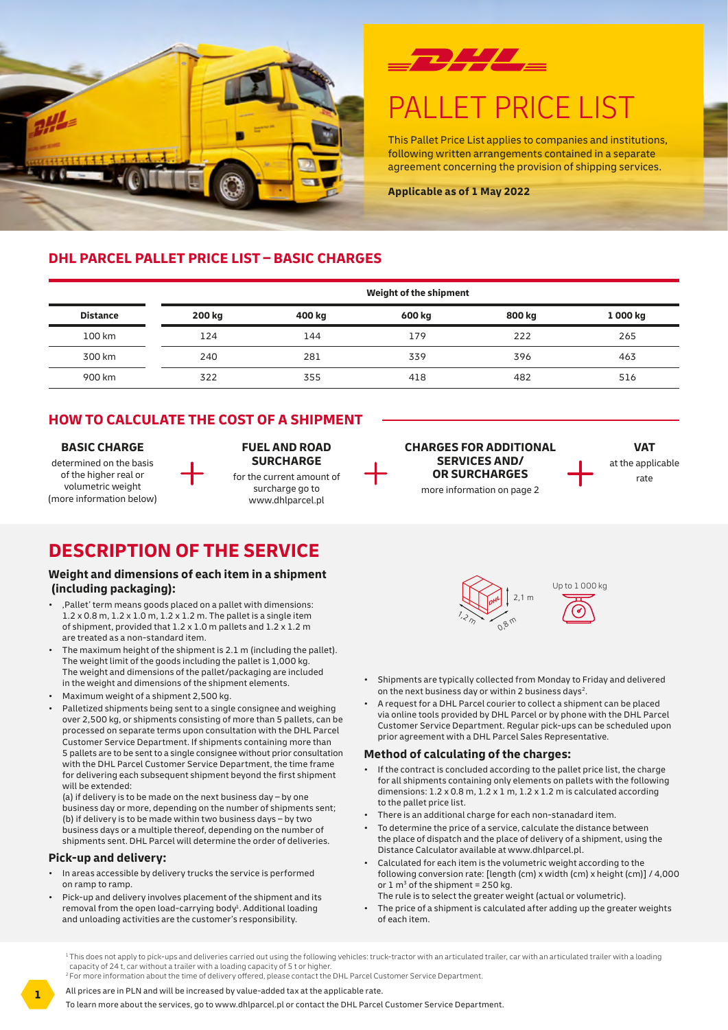



# PALLET PRICE LIST

This Pallet Price List applies to companies and institutions, following written arrangements contained in a separate agreement concerning the provision of shipping services.

**Applicable as of 1 May 2022**

### **DHL PARCEL PALLET PRICE LIST – BASIC CHARGES**

|                 | Weight of the shipment |        |        |        |         |
|-----------------|------------------------|--------|--------|--------|---------|
| <b>Distance</b> | <b>200 kg</b>          | 400 kg | 600 kg | 800 kg | 1000 kg |
| 100 km          | 124                    | 144    | 179    | 222    | 265     |
| 300 km          | 240                    | 281    | 339    | 396    | 463     |
| 900 km          | 322                    | 355    | 418    | 482    | 516     |

### **HOW TO CALCULATE THE COST OF A SHIPMENT**

#### **BASIC CHARGE**

determined on the basis of the higher real or volumetric weight (more information below)

#### **FUEL AND ROAD SURCHARGE** for the current amount of surcharge go to www.dhlparcel.pl



**VAT** at the applicable rate

### **DESCRIPTION OF THE SERVICE**

#### **Weight and dimensions of each item in a shipment (including packaging):**

- 'Pallet' term means goods placed on a pallet with dimensions:  $1.2 \times 0.8$  m,  $1.2 \times 1.0$  m,  $1.2 \times 1.2$  m. The pallet is a single item of shipment, provided that 1.2 x 1.0 m pallets and 1.2 x 1.2 m are treated as a non-standard item.
- The maximum height of the shipment is 2.1 m (including the pallet). The weight limit of the goods including the pallet is 1,000 kg. The weight and dimensions of the pallet/packaging are included in the weight and dimensions of the shipment elements.
- Maximum weight of a shipment 2,500 kg.
- Palletized shipments being sent to a single consignee and weighing over 2,500 kg, or shipments consisting of more than 5 pallets, can be processed on separate terms upon consultation with the DHL Parcel Customer Service Department. If shipments containing more than 5 pallets are to be sent to a single consignee without prior consultation with the DHL Parcel Customer Service Department, the time frame for delivering each subsequent shipment beyond the first shipment will be extended:

(a) if delivery is to be made on the next business day – by one business day or more, depending on the number of shipments sent; (b) if delivery is to be made within two business days – by two business days or a multiple thereof, depending on the number of shipments sent. DHL Parcel will determine the order of deliveries.

#### **Pick-up and delivery:**

- In areas accessible by delivery trucks the service is performed on ramp to ramp.
- Pick-up and delivery involves placement of the shipment and its removal from the open load-carrying body<sup>1</sup>. Additional loading and unloading activities are the customer's responsibility.



- Shipments are typically collected from Monday to Friday and delivered on the next business day or within 2 business days<sup>2</sup>.
- A request for a DHL Parcel courier to collect a shipment can be placed via online tools provided by DHL Parcel or by phone with the DHL Parcel Customer Service Department. Regular pick-ups can be scheduled upon prior agreement with a DHL Parcel Sales Representative.

#### **Method of calculating of the charges:**

- If the contract is concluded according to the pallet price list, the charge for all shipments containing only elements on pallets with the following dimensions:  $1.2 \times 0.8$  m,  $1.2 \times 1$  m,  $1.2 \times 1.2$  m is calculated according to the pallet price list.
- There is an additional charge for each non-stanadard item.
- To determine the price of a service, calculate the distance between the place of dispatch and the place of delivery of a shipment, using the Distance Calculator available at www.dhlparcel.pl.
- Calculated for each item is the volumetric weight according to the following conversion rate: [length (cm) x width (cm) x height (cm)] / 4,000 or  $1 \text{ m}^3$  of the shipment = 250 kg.
	- The rule is to select the greater weight (actual or volumetric).
- The price of a shipment is calculated after adding up the greater weights of each item.

<sup>1</sup> This does not apply to pick-ups and deliveries carried out using the following vehicles: truck-tractor with an articulated trailer, car with an articulated trailer with a loading capacity of 24 t, car without a trailer with a loading capacity of 5 t or higher. <sup>2</sup>For more information about the time of delivery offered, please contact the DHL Parcel Customer Service Department.

All prices are in PLN and will be increased by value-added tax at the applicable rate.

To learn more about the services, go to www.dhlparcel.pl or contact the DHL Parcel Customer Service Department.